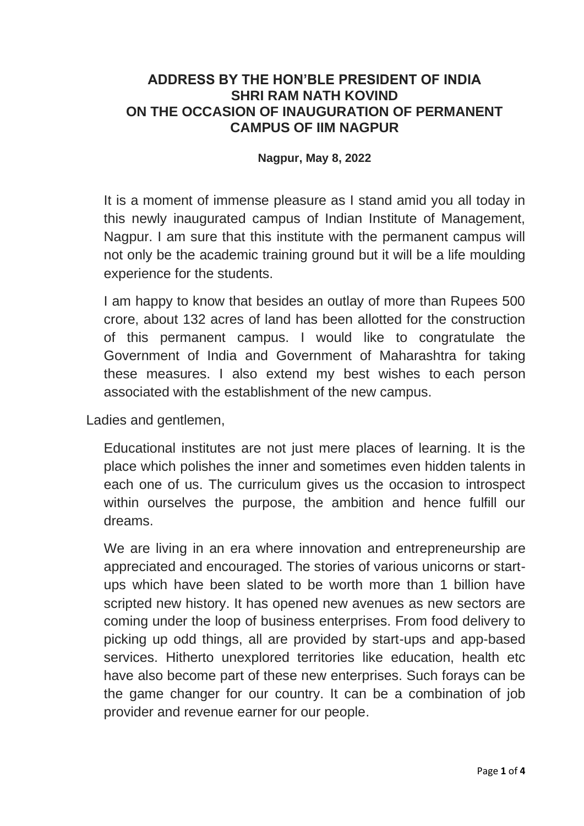## **ADDRESS BY THE HON'BLE PRESIDENT OF INDIA SHRI RAM NATH KOVIND ON THE OCCASION OF INAUGURATION OF PERMANENT CAMPUS OF IIM NAGPUR**

## **Nagpur, May 8, 2022**

It is a moment of immense pleasure as I stand amid you all today in this newly inaugurated campus of Indian Institute of Management, Nagpur. I am sure that this institute with the permanent campus will not only be the academic training ground but it will be a life moulding experience for the students.

I am happy to know that besides an outlay of more than Rupees 500 crore, about 132 acres of land has been allotted for the construction of this permanent campus. I would like to congratulate the Government of India and Government of Maharashtra for taking these measures. I also extend my best wishes to each person associated with the establishment of the new campus.

Ladies and gentlemen,

Educational institutes are not just mere places of learning. It is the place which polishes the inner and sometimes even hidden talents in each one of us. The curriculum gives us the occasion to introspect within ourselves the purpose, the ambition and hence fulfill our dreams.

We are living in an era where innovation and entrepreneurship are appreciated and encouraged. The stories of various unicorns or startups which have been slated to be worth more than 1 billion have scripted new history. It has opened new avenues as new sectors are coming under the loop of business enterprises. From food delivery to picking up odd things, all are provided by start-ups and app-based services. Hitherto unexplored territories like education, health etc have also become part of these new enterprises. Such forays can be the game changer for our country. It can be a combination of job provider and revenue earner for our people.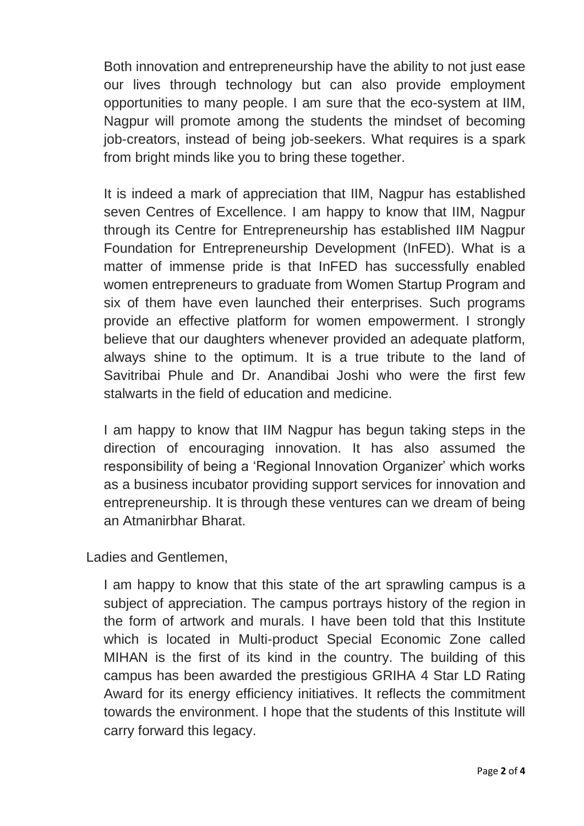Both innovation and entrepreneurship have the ability to not just ease our lives through technology but can also provide employment opportunities to many people. I am sure that the eco-system at IIM, Nagpur will promote among the students the mindset of becoming job-creators, instead of being job-seekers. What requires is a spark from bright minds like you to bring these together.

It is indeed a mark of appreciation that IIM, Nagpur has established seven Centres of Excellence. I am happy to know that IIM, Nagpur through its Centre for Entrepreneurship has established IIM Nagpur Foundation for Entrepreneurship Development (InFED). What is a matter of immense pride is that InFED has successfully enabled women entrepreneurs to graduate from Women Startup Program and six of them have even launched their enterprises. Such programs provide an effective platform for women empowerment. I strongly believe that our daughters whenever provided an adequate platform, always shine to the optimum. It is a true tribute to the land of Savitribai Phule and Dr. Anandibai Joshi who were the first few stalwarts in the field of education and medicine.

I am happy to know that IIM Nagpur has begun taking steps in the direction of encouraging innovation. It has also assumed the responsibility of being a 'Regional Innovation Organizer' which works as a business incubator providing support services for innovation and entrepreneurship. It is through these ventures can we dream of being an Atmanirbhar Bharat.

Ladies and Gentlemen,

I am happy to know that this state of the art sprawling campus is a subject of appreciation. The campus portrays history of the region in the form of artwork and murals. I have been told that this Institute which is located in Multi-product Special Economic Zone called MIHAN is the first of its kind in the country. The building of this campus has been awarded the prestigious GRIHA 4 Star LD Rating Award for its energy efficiency initiatives. It reflects the commitment towards the environment. I hope that the students of this Institute will carry forward this legacy.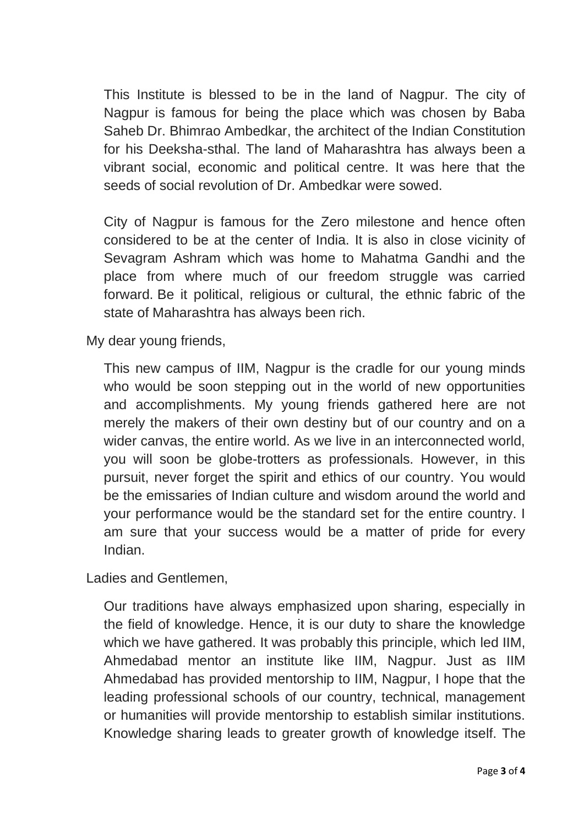This Institute is blessed to be in the land of Nagpur. The city of Nagpur is famous for being the place which was chosen by Baba Saheb Dr. Bhimrao Ambedkar, the architect of the Indian Constitution for his Deeksha-sthal. The land of Maharashtra has always been a vibrant social, economic and political centre. It was here that the seeds of social revolution of Dr. Ambedkar were sowed.

City of Nagpur is famous for the Zero milestone and hence often considered to be at the center of India. It is also in close vicinity of Sevagram Ashram which was home to Mahatma Gandhi and the place from where much of our freedom struggle was carried forward. Be it political, religious or cultural, the ethnic fabric of the state of Maharashtra has always been rich.

My dear young friends,

This new campus of IIM, Nagpur is the cradle for our young minds who would be soon stepping out in the world of new opportunities and accomplishments. My young friends gathered here are not merely the makers of their own destiny but of our country and on a wider canvas, the entire world. As we live in an interconnected world, you will soon be globe-trotters as professionals. However, in this pursuit, never forget the spirit and ethics of our country. You would be the emissaries of Indian culture and wisdom around the world and your performance would be the standard set for the entire country. I am sure that your success would be a matter of pride for every Indian.

Ladies and Gentlemen,

Our traditions have always emphasized upon sharing, especially in the field of knowledge. Hence, it is our duty to share the knowledge which we have gathered. It was probably this principle, which led IIM, Ahmedabad mentor an institute like IIM, Nagpur. Just as IIM Ahmedabad has provided mentorship to IIM, Nagpur, I hope that the leading professional schools of our country, technical, management or humanities will provide mentorship to establish similar institutions. Knowledge sharing leads to greater growth of knowledge itself. The